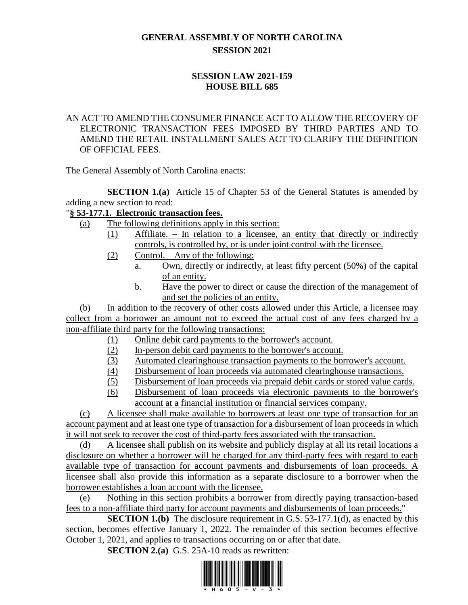# **GENERAL ASSEMBLY OF NORTH CAROLINA SESSION 2021**

## **SESSION LAW 2021-159 HOUSE BILL 685**

#### AN ACT TO AMEND THE CONSUMER FINANCE ACT TO ALLOW THE RECOVERY OF ELECTRONIC TRANSACTION FEES IMPOSED BY THIRD PARTIES AND TO AMEND THE RETAIL INSTALLMENT SALES ACT TO CLARIFY THE DEFINITION OF OFFICIAL FEES.

The General Assembly of North Carolina enacts:

**SECTION 1.(a)** Article 15 of Chapter 53 of the General Statutes is amended by adding a new section to read:

## "**§ 53-177.1. Electronic transaction fees.**

- (a) The following definitions apply in this section:
	- (1) Affiliate. In relation to a licensee, an entity that directly or indirectly controls, is controlled by, or is under joint control with the licensee.
		- (2) Control. Any of the following:
			- a. Own, directly or indirectly, at least fifty percent (50%) of the capital of an entity.
			- b. Have the power to direct or cause the direction of the management of and set the policies of an entity.

(b) In addition to the recovery of other costs allowed under this Article, a licensee may collect from a borrower an amount not to exceed the actual cost of any fees charged by a non-affiliate third party for the following transactions:

- (1) Online debit card payments to the borrower's account.
- (2) In-person debit card payments to the borrower's account.
- (3) Automated clearinghouse transaction payments to the borrower's account.
- (4) Disbursement of loan proceeds via automated clearinghouse transactions.
- (5) Disbursement of loan proceeds via prepaid debit cards or stored value cards.
- (6) Disbursement of loan proceeds via electronic payments to the borrower's account at a financial institution or financial services company.

(c) A licensee shall make available to borrowers at least one type of transaction for an account payment and at least one type of transaction for a disbursement of loan proceeds in which it will not seek to recover the cost of third-party fees associated with the transaction.

(d) A licensee shall publish on its website and publicly display at all its retail locations a disclosure on whether a borrower will be charged for any third-party fees with regard to each available type of transaction for account payments and disbursements of loan proceeds. A licensee shall also provide this information as a separate disclosure to a borrower when the borrower establishes a loan account with the licensee.

(e) Nothing in this section prohibits a borrower from directly paying transaction-based fees to a non-affiliate third party for account payments and disbursements of loan proceeds."

**SECTION 1.(b)** The disclosure requirement in G.S. 53-177.1(d), as enacted by this section, becomes effective January 1, 2022. The remainder of this section becomes effective October 1, 2021, and applies to transactions occurring on or after that date.

**SECTION 2.(a)** G.S. 25A-10 reads as rewritten:

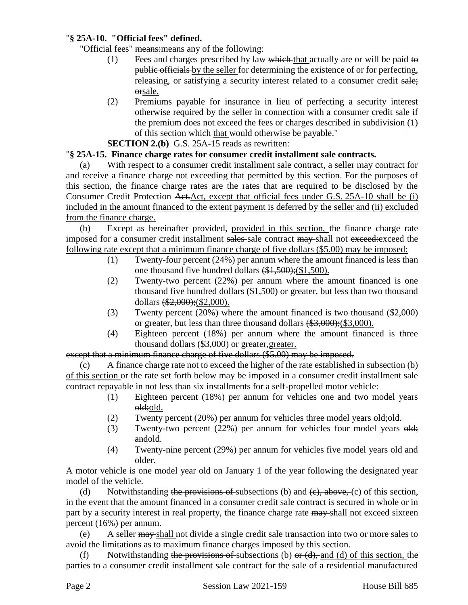#### "**§ 25A-10. "Official fees" defined.**

"Official fees" means:means any of the following:

- (1) Fees and charges prescribed by law which that actually are or will be paid to public officials by the seller for determining the existence of or for perfecting, releasing, or satisfying a security interest related to a consumer credit sale; orsale.
- (2) Premiums payable for insurance in lieu of perfecting a security interest otherwise required by the seller in connection with a consumer credit sale if the premium does not exceed the fees or charges described in subdivision (1) of this section which that would otherwise be payable."

**SECTION 2.(b)** G.S. 25A-15 reads as rewritten:

#### "**§ 25A-15. Finance charge rates for consumer credit installment sale contracts.**

(a) With respect to a consumer credit installment sale contract, a seller may contract for and receive a finance charge not exceeding that permitted by this section. For the purposes of this section, the finance charge rates are the rates that are required to be disclosed by the Consumer Credit Protection Act.Act, except that official fees under G.S. 25A-10 shall be (i) included in the amount financed to the extent payment is deferred by the seller and (ii) excluded from the finance charge.

(b) Except as hereinafter provided, provided in this section, the finance charge rate imposed for a consumer credit installment sales sale contract may shall not exceed: exceed the following rate except that a minimum finance charge of five dollars (\$5.00) may be imposed:

- (1) Twenty-four percent (24%) per annum where the amount financed is less than one thousand five hundred dollars (\$1,500);(\$1,500).
- (2) Twenty-two percent (22%) per annum where the amount financed is one thousand five hundred dollars (\$1,500) or greater, but less than two thousand dollars (\$2,000);(\$2,000).
- (3) Twenty percent (20%) where the amount financed is two thousand (\$2,000) or greater, but less than three thousand dollars (\$3,000);(\$3,000).
- (4) Eighteen percent (18%) per annum where the amount financed is three thousand dollars (\$3,000) or greater, greater.

## except that a minimum finance charge of five dollars (\$5.00) may be imposed.

(c) A finance charge rate not to exceed the higher of the rate established in subsection (b) of this section or the rate set forth below may be imposed in a consumer credit installment sale contract repayable in not less than six installments for a self-propelled motor vehicle:

- (1) Eighteen percent (18%) per annum for vehicles one and two model years old;old.
- (2) Twenty percent  $(20%)$  per annum for vehicles three model years  $\Theta$ **ld**; old.
- (3) Twenty-two percent (22%) per annum for vehicles four model years old; andold.
- (4) Twenty-nine percent (29%) per annum for vehicles five model years old and older.

A motor vehicle is one model year old on January 1 of the year following the designated year model of the vehicle.

(d) Notwithstanding the provisions of subsections (b) and  $(e)$ , above, (c) of this section, in the event that the amount financed in a consumer credit sale contract is secured in whole or in part by a security interest in real property, the finance charge rate  $\frac{may}{n}$ -shall not exceed sixteen percent (16%) per annum.

(e) A seller may shall not divide a single credit sale transaction into two or more sales to avoid the limitations as to maximum finance charges imposed by this section.

(f) Notwithstanding the provisions of subsections (b) or  $(d)$ , and (d) of this section, the parties to a consumer credit installment sale contract for the sale of a residential manufactured